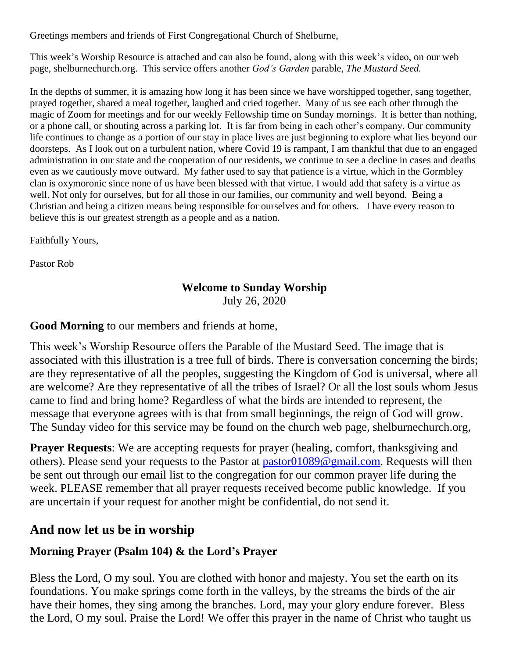Greetings members and friends of First Congregational Church of Shelburne,

This week's Worship Resource is attached and can also be found, along with this week's video, on our web page, shelburnechurch.org. This service offers another *God's Garden* parable, *The Mustard Seed.*

In the depths of summer, it is amazing how long it has been since we have worshipped together, sang together, prayed together, shared a meal together, laughed and cried together. Many of us see each other through the magic of Zoom for meetings and for our weekly Fellowship time on Sunday mornings. It is better than nothing, or a phone call, or shouting across a parking lot. It is far from being in each other's company. Our community life continues to change as a portion of our stay in place lives are just beginning to explore what lies beyond our doorsteps. As I look out on a turbulent nation, where Covid 19 is rampant, I am thankful that due to an engaged administration in our state and the cooperation of our residents, we continue to see a decline in cases and deaths even as we cautiously move outward. My father used to say that patience is a virtue, which in the Gormbley clan is oxymoronic since none of us have been blessed with that virtue. I would add that safety is a virtue as well. Not only for ourselves, but for all those in our families, our community and well beyond. Being a Christian and being a citizen means being responsible for ourselves and for others. I have every reason to believe this is our greatest strength as a people and as a nation.

Faithfully Yours,

Pastor Rob

### **Welcome to Sunday Worship** July 26, 2020

**Good Morning** to our members and friends at home,

This week's Worship Resource offers the Parable of the Mustard Seed. The image that is associated with this illustration is a tree full of birds. There is conversation concerning the birds; are they representative of all the peoples, suggesting the Kingdom of God is universal, where all are welcome? Are they representative of all the tribes of Israel? Or all the lost souls whom Jesus came to find and bring home? Regardless of what the birds are intended to represent, the message that everyone agrees with is that from small beginnings, the reign of God will grow. The Sunday video for this service may be found on the church web page, shelburnechurch.org,

**Prayer Requests:** We are accepting requests for prayer (healing, comfort, thanksgiving and others). Please send your requests to the Pastor at [pastor01089@gmail.com.](mailto:pastor01089@gmail.com) Requests will then be sent out through our email list to the congregation for our common prayer life during the week. PLEASE remember that all prayer requests received become public knowledge. If you are uncertain if your request for another might be confidential, do not send it.

# **And now let us be in worship**

### **Morning Prayer (Psalm 104) & the Lord's Prayer**

Bless the Lord, O my soul. You are clothed with honor and majesty. You set the earth on its foundations. You make springs come forth in the valleys, by the streams the birds of the air have their homes, they sing among the branches. Lord, may your glory endure forever. Bless the Lord, O my soul. Praise the Lord! We offer this prayer in the name of Christ who taught us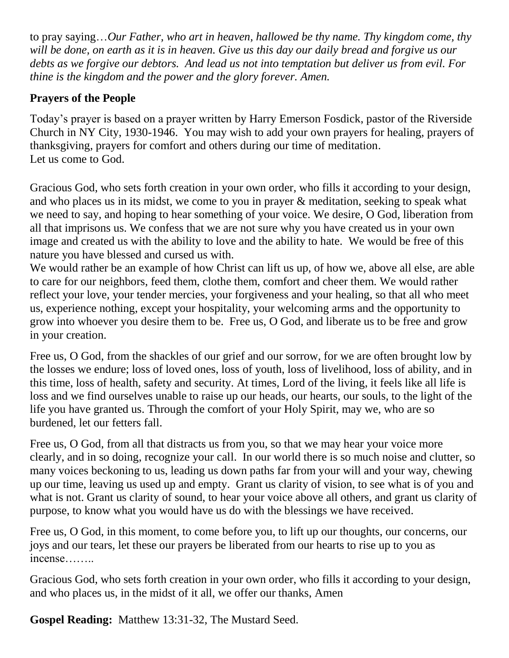to pray saying…*Our Father, who art in heaven, hallowed be thy name. Thy kingdom come, thy will be done, on earth as it is in heaven. Give us this day our daily bread and forgive us our debts as we forgive our debtors. And lead us not into temptation but deliver us from evil. For thine is the kingdom and the power and the glory forever. Amen.*

## **Prayers of the People**

Today's prayer is based on a prayer written by Harry Emerson Fosdick, pastor of the Riverside Church in NY City, 1930-1946. You may wish to add your own prayers for healing, prayers of thanksgiving, prayers for comfort and others during our time of meditation. Let us come to God.

Gracious God, who sets forth creation in your own order, who fills it according to your design, and who places us in its midst, we come to you in prayer & meditation, seeking to speak what we need to say, and hoping to hear something of your voice. We desire, O God, liberation from all that imprisons us. We confess that we are not sure why you have created us in your own image and created us with the ability to love and the ability to hate. We would be free of this nature you have blessed and cursed us with.

We would rather be an example of how Christ can lift us up, of how we, above all else, are able to care for our neighbors, feed them, clothe them, comfort and cheer them. We would rather reflect your love, your tender mercies, your forgiveness and your healing, so that all who meet us, experience nothing, except your hospitality, your welcoming arms and the opportunity to grow into whoever you desire them to be. Free us, O God, and liberate us to be free and grow in your creation.

Free us, O God, from the shackles of our grief and our sorrow, for we are often brought low by the losses we endure; loss of loved ones, loss of youth, loss of livelihood, loss of ability, and in this time, loss of health, safety and security. At times, Lord of the living, it feels like all life is loss and we find ourselves unable to raise up our heads, our hearts, our souls, to the light of the life you have granted us. Through the comfort of your Holy Spirit, may we, who are so burdened, let our fetters fall.

Free us, O God, from all that distracts us from you, so that we may hear your voice more clearly, and in so doing, recognize your call. In our world there is so much noise and clutter, so many voices beckoning to us, leading us down paths far from your will and your way, chewing up our time, leaving us used up and empty. Grant us clarity of vision, to see what is of you and what is not. Grant us clarity of sound, to hear your voice above all others, and grant us clarity of purpose, to know what you would have us do with the blessings we have received.

Free us, O God, in this moment, to come before you, to lift up our thoughts, our concerns, our joys and our tears, let these our prayers be liberated from our hearts to rise up to you as incense……..

Gracious God, who sets forth creation in your own order, who fills it according to your design, and who places us, in the midst of it all, we offer our thanks, Amen

**Gospel Reading:** Matthew 13:31-32, The Mustard Seed.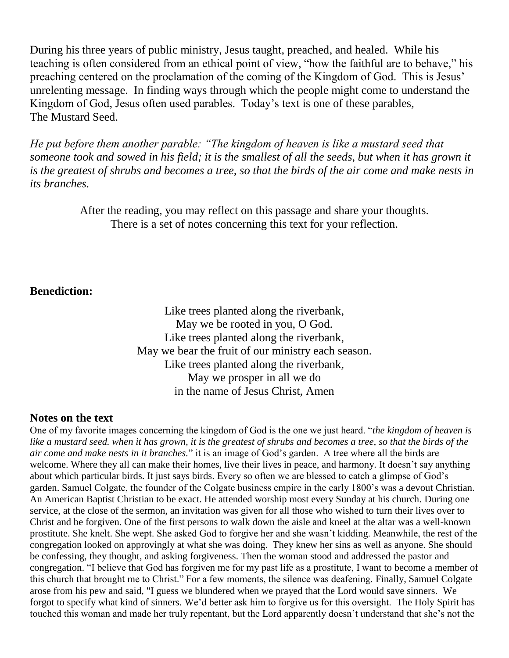During his three years of public ministry, Jesus taught, preached, and healed. While his teaching is often considered from an ethical point of view, "how the faithful are to behave," his preaching centered on the proclamation of the coming of the Kingdom of God. This is Jesus' unrelenting message. In finding ways through which the people might come to understand the Kingdom of God, Jesus often used parables. Today's text is one of these parables, The Mustard Seed.

*He put before them another parable: "The kingdom of heaven is like a mustard seed that someone took and sowed in his field; it is the smallest of all the seeds, but when it has grown it is the greatest of shrubs and becomes a tree, so that the birds of the air come and make nests in its branches.*

> After the reading, you may reflect on this passage and share your thoughts. There is a set of notes concerning this text for your reflection.

#### **Benediction:**

Like trees planted along the riverbank, May we be rooted in you, O God. Like trees planted along the riverbank, May we bear the fruit of our ministry each season. Like trees planted along the riverbank, May we prosper in all we do in the name of Jesus Christ, Amen

#### **Notes on the text**

One of my favorite images concerning the kingdom of God is the one we just heard. "*the kingdom of heaven is like a mustard seed. when it has grown, it is the greatest of shrubs and becomes a tree, so that the birds of the air come and make nests in it branches.*" it is an image of God's garden. A tree where all the birds are welcome. Where they all can make their homes, live their lives in peace, and harmony. It doesn't say anything about which particular birds. It just says birds. Every so often we are blessed to catch a glimpse of God's garden. Samuel Colgate, the founder of the Colgate business empire in the early 1800's was a devout Christian. An American Baptist Christian to be exact. He attended worship most every Sunday at his church. During one service, at the close of the sermon, an invitation was given for all those who wished to turn their lives over to Christ and be forgiven. One of the first persons to walk down the aisle and kneel at the altar was a well-known prostitute. She knelt. She wept. She asked God to forgive her and she wasn't kidding. Meanwhile, the rest of the congregation looked on approvingly at what she was doing. They knew her sins as well as anyone. She should be confessing, they thought, and asking forgiveness. Then the woman stood and addressed the pastor and congregation. "I believe that God has forgiven me for my past life as a prostitute, I want to become a member of this church that brought me to Christ." For a few moments, the silence was deafening. Finally, Samuel Colgate arose from his pew and said, "I guess we blundered when we prayed that the Lord would save sinners. We forgot to specify what kind of sinners. We'd better ask him to forgive us for this oversight. The Holy Spirit has touched this woman and made her truly repentant, but the Lord apparently doesn't understand that she's not the